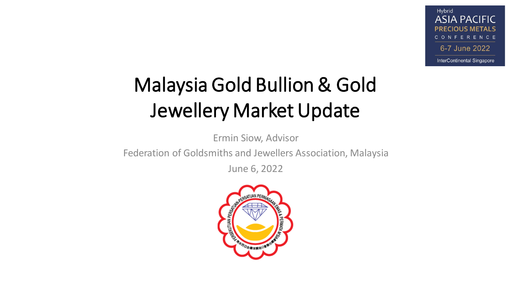# Malaysia Gold Bullion & Gold Jewellery Market Update

Ermin Siow, Advisor

Federation of Goldsmiths and Jewellers Association, Malaysia

June 6, 2022

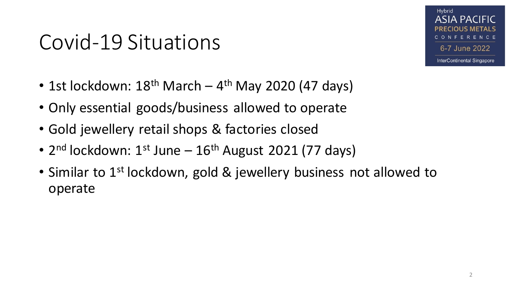#### Covid-19 Situations

- 1st lockdown: 18<sup>th</sup> March 4<sup>th</sup> May 2020 (47 days)
- Only essential goods/business allowed to operate
- Gold jewellery retail shops & factories closed
- 2<sup>nd</sup> lockdown: 1<sup>st</sup> June 16<sup>th</sup> August 2021 (77 days)
- Similar to 1<sup>st</sup> lockdown, gold & jewellery business not allowed to operate

Hybrid

**ASIA PACIFIC** 

6-7 June 2022

**InterContinental Singapore** 

ERENCE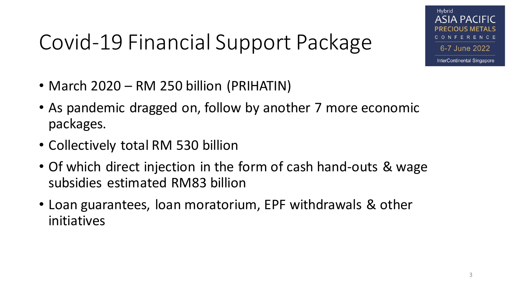#### Hybrid ASIA PACIFIC 6-7 June 2022

**InterContinental Singapore** 

# Covid-19 Financial Support Package

- March 2020 RM 250 billion (PRIHATIN)
- As pandemic dragged on, follow by another 7 more economic packages.
- Collectively total RM 530 billion
- Of which direct injection in the form of cash hand-outs & wage subsidies estimated RM83 billion
- Loan guarantees, loan moratorium, EPF withdrawals & other initiatives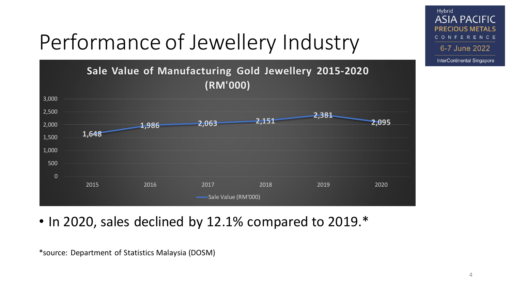

• In 2020, sales declined by 12.1% compared to 2019.\*

\*source: Department of Statistics Malaysia (DOSM)

Hybrid

**ASIA PACIFIC PRECIOUS METALS** CONFERENCE

6-7 June 2022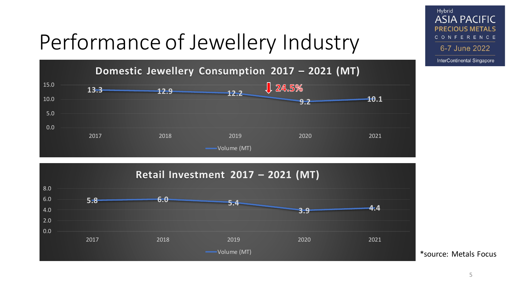



Hybrid

**ASIA PACIFIC PRECIOUS METALS** CONFERENCE

6-7 June 2022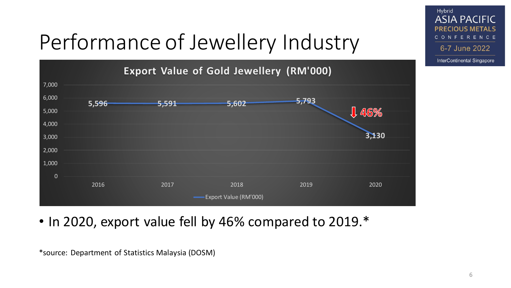

• In 2020, export value fell by 46% compared to 2019.\*

\*source: Department of Statistics Malaysia (DOSM)

Hybrid

**ASIA PACIFIC PRECIOUS METALS** CONFERENCE

6-7 June 2022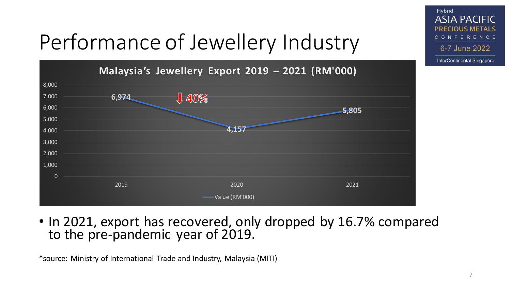

• In 2021, export has recovered, only dropped by 16.7% compared to the pre-pandemic year of 2019.

\*source: Ministry of International Trade and Industry, Malaysia (MITI)

Hybrid

**ASIA PACIFIC PRECIOUS METALS** CONFERENCE

6-7 June 2022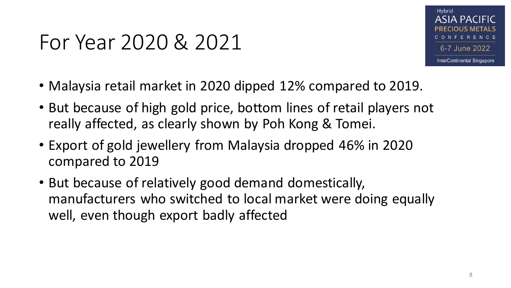#### For Year 2020 & 2021



- Malaysia retail market in 2020 dipped 12% compared to 2019.
- But because of high gold price, bottom lines of retail players not really affected, as clearly shown by Poh Kong & Tomei.
- Export of gold jewellery from Malaysia dropped 46% in 2020 compared to 2019
- But because of relatively good demand domestically, manufacturers who switched to local market were doing equally well, even though export badly affected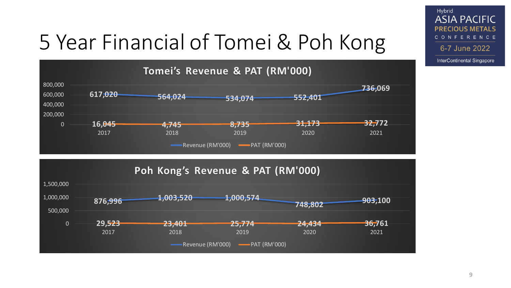#### 5 Year Financial of Tomei & Poh Kong





Hybrid **ASIA PACIFIC PRECIOUS METALS** CONFERENCE 6-7 June 2022